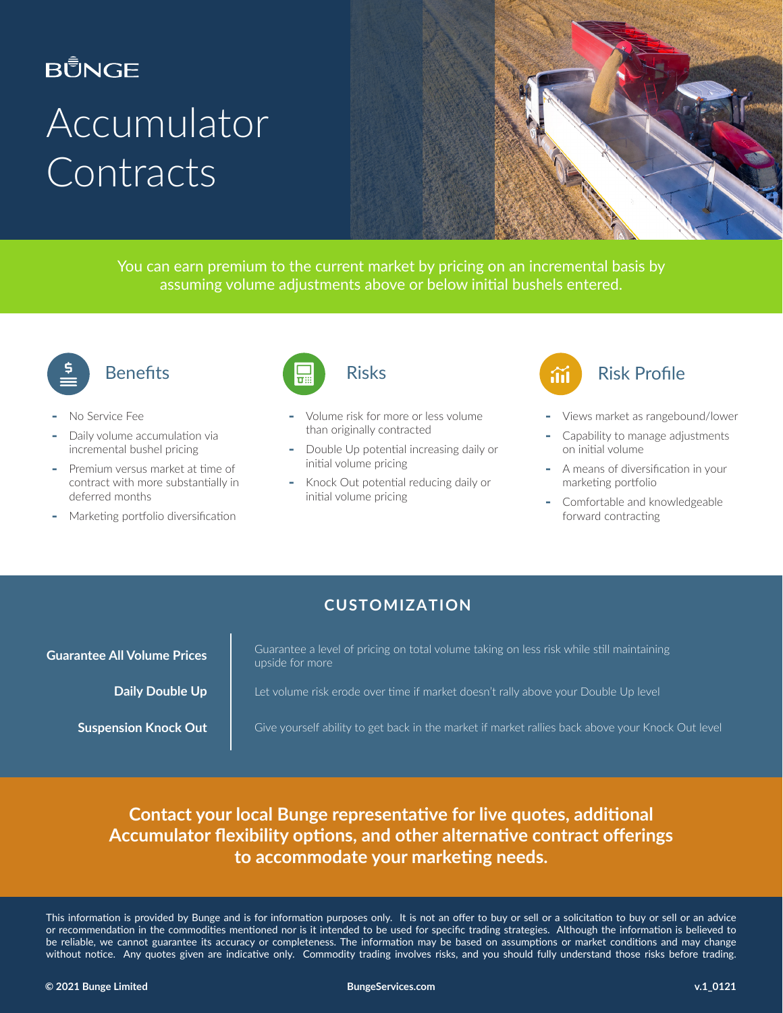### **BŮNGE**

# Accumulator **Contracts**



You can earn premium to the current market by pricing on an incremental basis by assuming volume adjustments above or below initial bushels entered.



### **Benefits**

- ‐ No Service Fee
- Daily volume accumulation via incremental bushel pricing
- Premium versus market at time of contract with more substantially in deferred months
- ‐ Marketing portfolio diversification



- ‐ Volume risk for more or less volume than originally contracted
- ‐ Double Up potential increasing daily or initial volume pricing
- ‐ Knock Out potential reducing daily or initial volume pricing



- ‐ Views market as rangebound/lower
- ‐ Capability to manage adjustments on initial volume
- ‐ A means of diversification in your marketing portfolio
- ‐ Comfortable and knowledgeable forward contracting

### **CUSTOMIZATION**

**Guarantee All Volume Prices Cuarantee a level of pricing on total volume taking on less risk while still maintaining** upside for more

**Daily Double Up** Let volume risk erode over time if market doesn't rally above your Double Up level

**Suspension Knock Out** | Give yourself ability to get back in the market if market rallies back above your Knock Out level

### **Contact your local Bunge representative for live quotes, additional Accumulator flexibility options, and other alternative contract offerings to accommodate your marketing needs.**

This information is provided by Bunge and is for information purposes only. It is not an offer to buy or sell or a solicitation to buy or sell or an advice or recommendation in the commodities mentioned nor is it intended to be used for specific trading strategies. Although the information is believed to be reliable, we cannot guarantee its accuracy or completeness. The information may be based on assumptions or market conditions and may change without notice. Any quotes given are indicative only. Commodity trading involves risks, and you should fully understand those risks before trading.